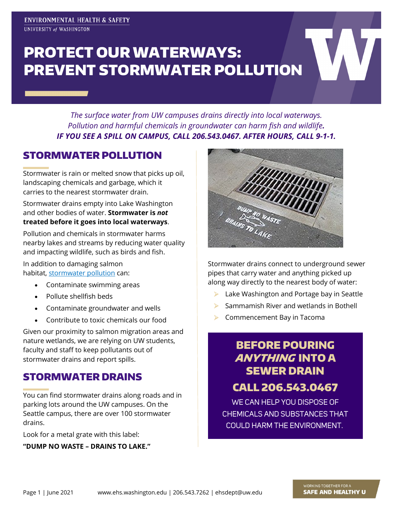# PROTECT OUR WATERWAYS: PREVENT STORMWATER POLLUTION

*The surface water from UW campuses drains directly into local waterways. Pollution and harmful chemicals in groundwater can harm fish and wildlife. IF YOU SEE A SPILL ON CAMPUS, CALL 206.543.0467. AFTER HOURS, CALL 9-1-1.*

#### STORMWATER POLLUTION

Stormwater is rain or melted snow that picks up oil, landscaping chemicals and garbage, which it carries to the nearest stormwater drain.

Stormwater drains empty into Lake Washington and other bodies of water. **Stormwater is** *not* **treated before it goes into local waterways**.

Pollution and chemicals in stormwater harms nearby lakes and streams by reducing water quality and impacting wildlife, such as birds and fish.

In addition to damaging salmon habitat, [stormwater pollution](https://ecology.wa.gov/Water-Shorelines/Water-quality/Runoff-pollution/Stormwater) can:

- Contaminate swimming areas
- Pollute shellfish beds
- Contaminate groundwater and wells
- Contribute to toxic chemicals our food

Given our proximity to salmon migration areas and nature wetlands, we are relying on UW students, faculty and staff to keep pollutants out of stormwater drains and report spills.

#### STORMWATER DRAINS

You can find stormwater drains along roads and in parking lots around the UW campuses. On the Seattle campus, there are over 100 stormwater drains.

Look for a metal grate with this label:

**"DUMP NO WASTE – DRAINS TO LAKE."**



Stormwater drains connect to underground sewer pipes that carry water and anything picked up along way directly to the nearest body of water:

- ▶ Lake Washington and Portage bay in Seattle
- $\triangleright$  Sammamish River and wetlands in Bothell
- ▶ Commencement Bay in Tacoma

# BEFORE POURING ANYTHING INTO A SEWER DRAIN

## CALL 206.543.0467

WE CAN HELP YOU DISPOSE OF CHEMICALS AND SUBSTANCES THAT COULD HARM THE ENVIRONMENT.